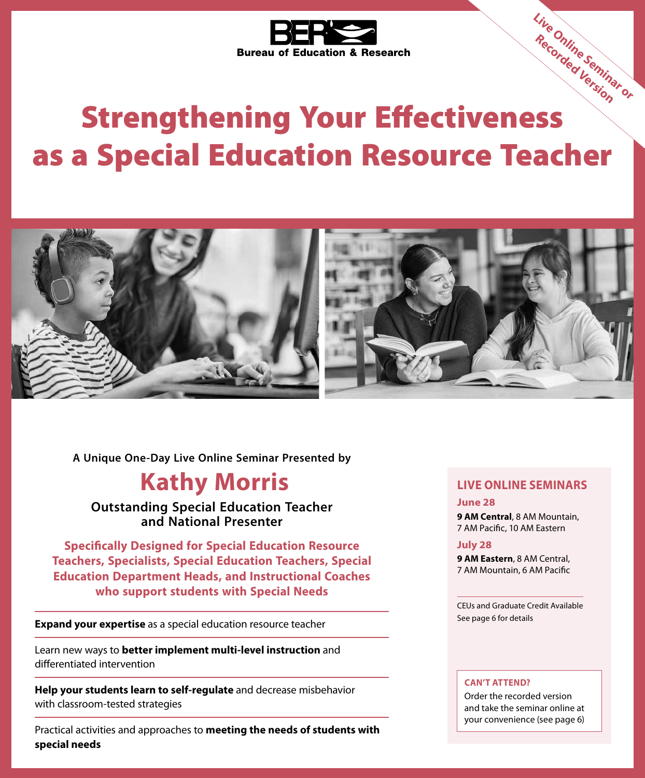

# Bureau of Education ...<br>
Strengthening Your Effectiveness as a Special Education Resource Teacher **Live Online Seminar or Recorded Version**



**A Unique One-Day Live Online Seminar Presented by**

### **Kathy Morris**

### **Outstanding Special Education Teacher and National Presenter**

**Specifically Designed for Special Education Resource Teachers, Specialists, Special Education Teachers, Special Education Department Heads, and Instructional Coaches who support students with Special Needs**

**Expand your expertise** as a special education resource teacher

Learn new ways to **better implement multi-level instruction** and differentiated intervention

**Help your students learn to self-regulate** and decrease misbehavior with classroom-tested strategies

Practical activities and approaches to **meeting the needs of students with special needs**

### **LIVE ONLINE SEMINARS**

**June 28**

**9 AM Central**, 8 AM Mountain, 7 AM Pacific, 10 AM Eastern

#### **July 28**

**9 AM Eastern**, 8 AM Central, 7 AM Mountain, 6 AM Pacific

CEUs and Graduate Credit Available See page 6 for details

#### **CAN'T ATTEND?**

Order the recorded version and take the seminar online at your convenience (see page 6)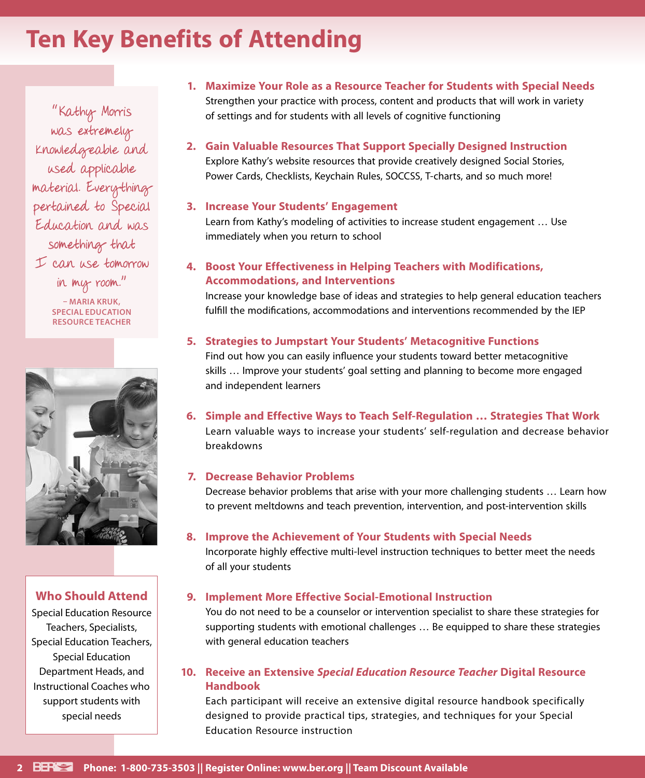# **Ten Key Benefits of Attending**

"Kathy Morris was extremely knowledgeable and used applicable material. Everything pertained to Special Education and was something that I can use tomorrow in my room."

> **– MARIA KRUK, SPECIAL EDUCATION RESOURCE TEACHER**



### **Who Should Attend**

Special Education Resource Teachers, Specialists, Special Education Teachers, Special Education Department Heads, and Instructional Coaches who support students with special needs

- **1. Maximize Your Role as a Resource Teacher for Students with Special Needs** Strengthen your practice with process, content and products that will work in variety of settings and for students with all levels of cognitive functioning
- **2. Gain Valuable Resources That Support Specially Designed Instruction**

Explore Kathy's website resources that provide creatively designed Social Stories, Power Cards, Checklists, Keychain Rules, SOCCSS, T-charts, and so much more!

#### **3. Increase Your Students' Engagement**

Learn from Kathy's modeling of activities to increase student engagement … Use immediately when you return to school

### **4. Boost Your Effectiveness in Helping Teachers with Modifications, Accommodations, and Interventions**

Increase your knowledge base of ideas and strategies to help general education teachers fulfill the modifications, accommodations and interventions recommended by the IEP

### **5. Strategies to Jumpstart Your Students' Metacognitive Functions**

Find out how you can easily influence your students toward better metacognitive skills … Improve your students' goal setting and planning to become more engaged and independent learners

**6. Simple and Effective Ways to Teach Self-Regulation … Strategies That Work**

Learn valuable ways to increase your students' self-regulation and decrease behavior breakdowns

### **7. Decrease Behavior Problems**

Decrease behavior problems that arise with your more challenging students … Learn how to prevent meltdowns and teach prevention, intervention, and post-intervention skills

#### **8. Improve the Achievement of Your Students with Special Needs**

Incorporate highly effective multi-level instruction techniques to better meet the needs of all your students

### **9. Implement More Effective Social-Emotional Instruction**

You do not need to be a counselor or intervention specialist to share these strategies for supporting students with emotional challenges … Be equipped to share these strategies with general education teachers

### **10. Receive an Extensive** *Special Education Resource Teacher* **Digital Resource Handbook**

Each participant will receive an extensive digital resource handbook specifically designed to provide practical tips, strategies, and techniques for your Special Education Resource instruction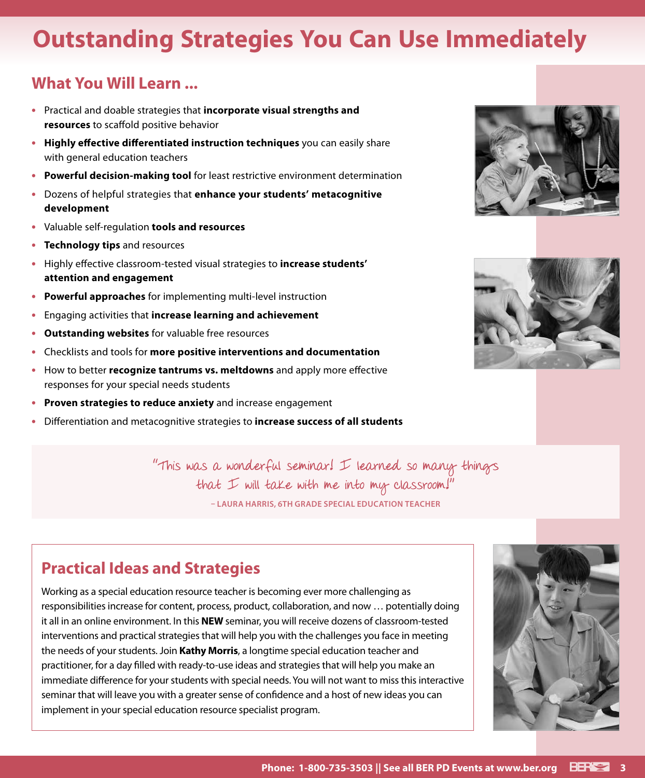# **Outstanding Strategies You Can Use Immediately**

### **What You Will Learn ...**

- **•** Practical and doable strategies that **incorporate visual strengths and resources** to scaffold positive behavior
- **• Highly effective differentiated instruction techniques** you can easily share with general education teachers
- **• Powerful decision-making tool** for least restrictive environment determination
- **•** Dozens of helpful strategies that **enhance your students' metacognitive development**
- **•** Valuable self-regulation **tools and resources**
- **• Technology tips** and resources
- **•** Highly effective classroom-tested visual strategies to **increase students' attention and engagement**
- **• Powerful approaches** for implementing multi-level instruction
- **•** Engaging activities that **increase learning and achievement**
- **• Outstanding websites** for valuable free resources
- **•** Checklists and tools for **more positive interventions and documentation**
- **•** How to better **recognize tantrums vs. meltdowns** and apply more effective responses for your special needs students
- **• Proven strategies to reduce anxiety** and increase engagement
- **•** Differentiation and metacognitive strategies to **increase success of all students**





"This was a wonderful seminar! I learned so many things that  $I$  will take with me into my classroom!"

**– LAURA HARRIS, 6TH GRADE SPECIAL EDUCATION TEACHER**

### **Practical Ideas and Strategies**

Working as a special education resource teacher is becoming ever more challenging as responsibilities increase for content, process, product, collaboration, and now … potentially doing it all in an online environment. In this **NEW** seminar, you will receive dozens of classroom-tested interventions and practical strategies that will help you with the challenges you face in meeting the needs of your students. Join **Kathy Morris**, a longtime special education teacher and practitioner, for a day filled with ready-to-use ideas and strategies that will help you make an immediate difference for your students with special needs. You will not want to miss this interactive seminar that will leave you with a greater sense of confidence and a host of new ideas you can implement in your special education resource specialist program.

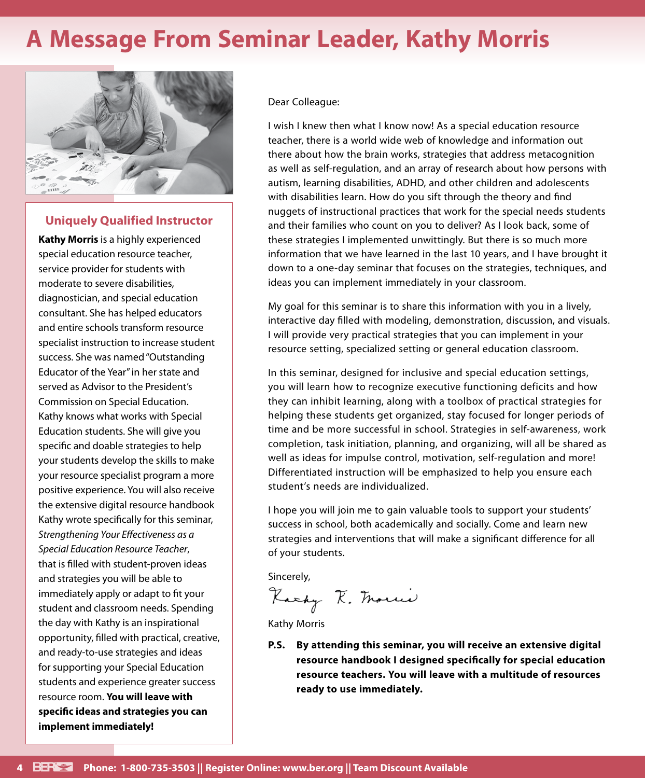# **A Message From Seminar Leader, Kathy Morris**



### **Uniquely Qualified Instructor**

**Kathy Morris** is a highly experienced special education resource teacher, service provider for students with moderate to severe disabilities, diagnostician, and special education consultant. She has helped educators and entire schools transform resource specialist instruction to increase student success. She was named "Outstanding Educator of the Year" in her state and served as Advisor to the President's Commission on Special Education. Kathy knows what works with Special Education students. She will give you specific and doable strategies to help your students develop the skills to make your resource specialist program a more positive experience. You will also receive the extensive digital resource handbook Kathy wrote specifically for this seminar, *Strengthening Your Effectiveness as a Special Education Resource Teacher*, that is filled with student-proven ideas and strategies you will be able to immediately apply or adapt to fit your student and classroom needs. Spending the day with Kathy is an inspirational opportunity, filled with practical, creative, and ready-to-use strategies and ideas for supporting your Special Education students and experience greater success resource room. **You will leave with specific ideas and strategies you can implement immediately!**

Dear Colleague:

I wish I knew then what I know now! As a special education resource teacher, there is a world wide web of knowledge and information out there about how the brain works, strategies that address metacognition as well as self-regulation, and an array of research about how persons with autism, learning disabilities, ADHD, and other children and adolescents with disabilities learn. How do you sift through the theory and find nuggets of instructional practices that work for the special needs students and their families who count on you to deliver? As I look back, some of these strategies I implemented unwittingly. But there is so much more information that we have learned in the last 10 years, and I have brought it down to a one-day seminar that focuses on the strategies, techniques, and ideas you can implement immediately in your classroom.

My goal for this seminar is to share this information with you in a lively, interactive day filled with modeling, demonstration, discussion, and visuals. I will provide very practical strategies that you can implement in your resource setting, specialized setting or general education classroom.

In this seminar, designed for inclusive and special education settings, you will learn how to recognize executive functioning deficits and how they can inhibit learning, along with a toolbox of practical strategies for helping these students get organized, stay focused for longer periods of time and be more successful in school. Strategies in self-awareness, work completion, task initiation, planning, and organizing, will all be shared as well as ideas for impulse control, motivation, self-regulation and more! Differentiated instruction will be emphasized to help you ensure each student's needs are individualized.

I hope you will join me to gain valuable tools to support your students' success in school, both academically and socially. Come and learn new strategies and interventions that will make a significant difference for all of your students.

Sincerely,

Rachy R. Morrie

Kathy Morris

**P.S. By attending this seminar, you will receive an extensive digital resource handbook I designed specifically for special education resource teachers. You will leave with a multitude of resources ready to use immediately.**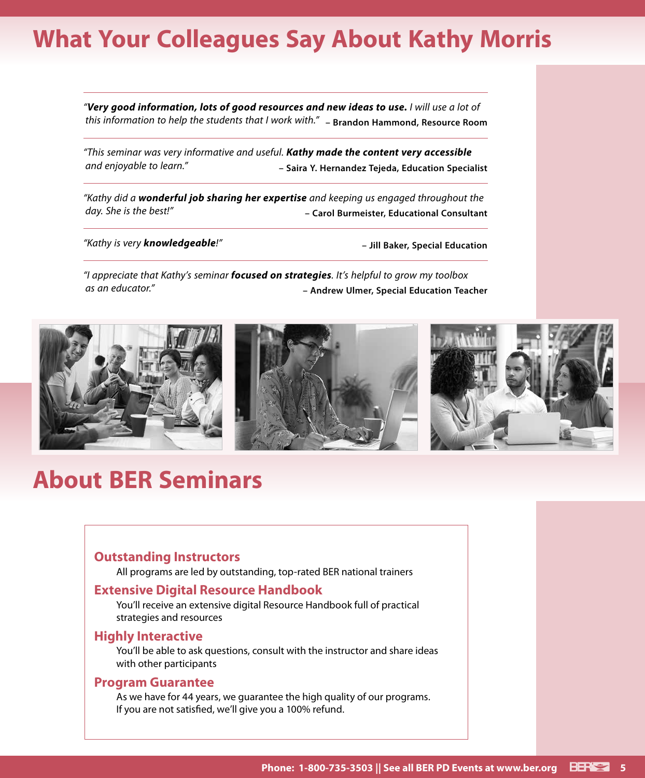## **What Your Colleagues Say About Kathy Morris**

*"Very good information, lots of good resources and new ideas to use. I will use a lot of this information to help the students that I work with."* **– Brandon Hammond, Resource Room**

*"This seminar was very informative and useful. Kathy made the content very accessible and enjoyable to learn."* **– Saira Y. Hernandez Tejeda, Education Specialist**

*"Kathy did a wonderful job sharing her expertise and keeping us engaged throughout the day. She is the best!"* **– Carol Burmeister, Educational Consultant**

*"Kathy is very knowledgeable!"* **– Jill Baker, Special Education**

*"I appreciate that Kathy's seminar focused on strategies. It's helpful to grow my toolbox as an educator."* **– Andrew Ulmer, Special Education Teacher**



## **About BER Seminars**

### **Outstanding Instructors**

All programs are led by outstanding, top-rated BER national trainers

#### **Extensive Digital Resource Handbook**

You'll receive an extensive digital Resource Handbook full of practical strategies and resources

#### **Highly Interactive**

You'll be able to ask questions, consult with the instructor and share ideas with other participants

#### **Program Guarantee**

As we have for 44 years, we guarantee the high quality of our programs. If you are not satisfied, we'll give you a 100% refund.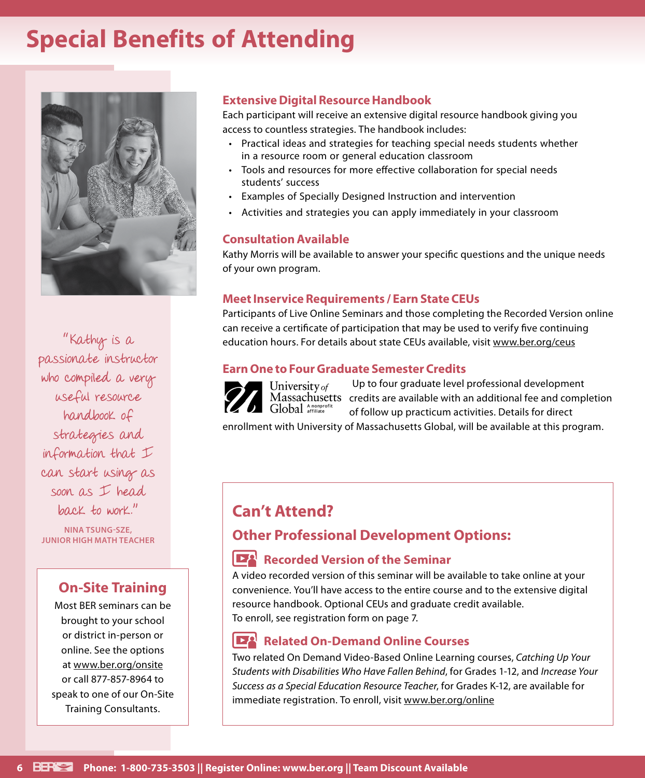# **Special Benefits of Attending**



"Kathy is a passionate instructor who compiled a very useful resource handbook of strategies and information that I can start using as soon as  $I$  head back to work."

**NINA TSUNG-SZE, JUNIOR HIGH MATH TEACHER**

### **On-Site Training**

Most BER seminars can be brought to your school or district in-person or online. See the options at www.ber.org/onsite or call 877-857-8964 to speak to one of our On-Site Training Consultants.

### **Extensive Digital Resource Handbook**

Each participant will receive an extensive digital resource handbook giving you access to countless strategies. The handbook includes:

- Practical ideas and strategies for teaching special needs students whether in a resource room or general education classroom
- Tools and resources for more effective collaboration for special needs students' success
- Examples of Specially Designed Instruction and intervention
- Activities and strategies you can apply immediately in your classroom

### **Consultation Available**

Kathy Morris will be available to answer your specific questions and the unique needs of your own program.

### **Meet Inservice Requirements / Earn State CEUs**

Participants of Live Online Seminars and those completing the Recorded Version online can receive a certificate of participation that may be used to verify five continuing education hours. For details about state CEUs available, visit www.ber.org/ceus

### **Earn One to Four Graduate Semester Credits**

Up to four graduate level professional development University of Massachusetts credits are available with an additional fee and completion Global Anonprofi of follow up practicum activities. Details for direct

enrollment with University of Massachusetts Global, will be available at this program.

### **Can't Attend?**

### **Other Professional Development Options:**

### **Recorded Version of the Seminar**

A video recorded version of this seminar will be available to take online at your convenience. You'll have access to the entire course and to the extensive digital resource handbook. Optional CEUs and graduate credit available. To enroll, see registration form on page 7.

#### $\mathbf{P}$ **Related On-Demand Online Courses**

Two related On Demand Video-Based Online Learning courses, *Catching Up Your Students with Disabilities Who Have Fallen Behind*, for Grades 1-12, and *Increase Your Success as a Special Education Resource Teacher*, for Grades K-12, are available for immediate registration. To enroll, visit www.ber.org/online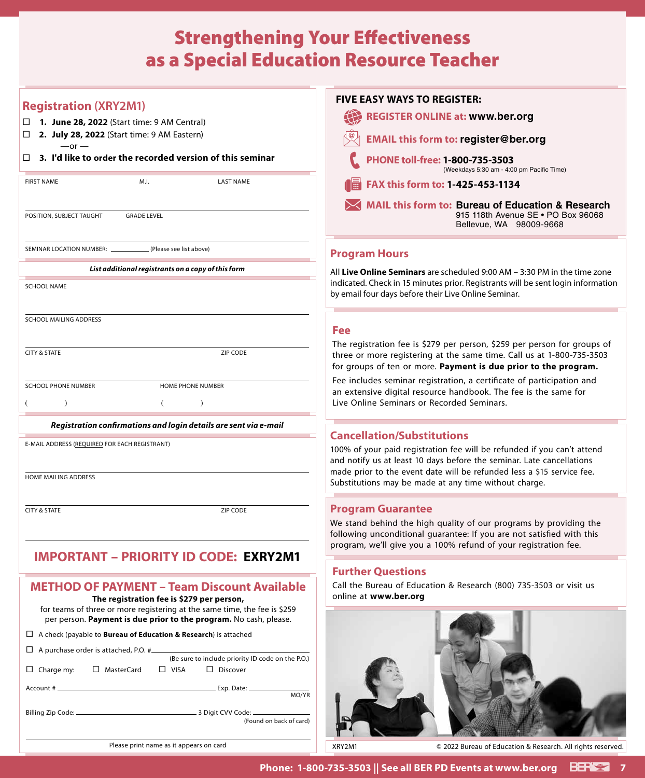### Strengthening Your Effectiveness as a Special Education Resource Teacher

| <b>Registration (XRY2M1)</b><br>1. June 28, 2022 (Start time: 9 AM Central)<br>ப                                                               | <b>FIVE EASY WAYS TO REGISTER:</b><br><b>REGISTER ONLINE at: www.ber.org</b>                                                                                                                                               |
|------------------------------------------------------------------------------------------------------------------------------------------------|----------------------------------------------------------------------------------------------------------------------------------------------------------------------------------------------------------------------------|
| 2. July 28, 2022 (Start time: 9 AM Eastern)<br>□<br>$-or -$                                                                                    | <b>EMAIL this form to: register@ber.org</b>                                                                                                                                                                                |
| 3. I'd like to order the recorded version of this seminar<br>$\Box$                                                                            | PHONE toll-free: 1-800-735-3503<br>(Weekdays 5:30 am - 4:00 pm Pacific Time)                                                                                                                                               |
| M.I.<br><b>LAST NAME</b><br><b>FIRST NAME</b>                                                                                                  | FAX this form to: 1-425-453-1134                                                                                                                                                                                           |
| POSITION, SUBJECT TAUGHT<br><b>GRADE LEVEL</b>                                                                                                 | <b>MAIL this form to: Bureau of Education &amp; Research</b><br>915 118th Avenue SE . PO Box 96068<br>Bellevue, WA 98009-9668                                                                                              |
| SEMINAR LOCATION NUMBER: _<br>(Please see list above)                                                                                          | <b>Program Hours</b>                                                                                                                                                                                                       |
| List additional registrants on a copy of this form                                                                                             | All Live Online Seminars are scheduled 9:00 AM - 3:30 PM in the time zone                                                                                                                                                  |
| <b>SCHOOL NAME</b>                                                                                                                             | indicated. Check in 15 minutes prior. Registrants will be sent login information<br>by email four days before their Live Online Seminar.                                                                                   |
| SCHOOL MAILING ADDRESS                                                                                                                         |                                                                                                                                                                                                                            |
|                                                                                                                                                | Fee                                                                                                                                                                                                                        |
| <b>CITY &amp; STATE</b><br>ZIP CODE                                                                                                            | The registration fee is \$279 per person, \$259 per person for groups of<br>three or more registering at the same time. Call us at 1-800-735-3503<br>for groups of ten or more. Payment is due prior to the program.       |
| <b>SCHOOL PHONE NUMBER</b><br>HOME PHONE NUMBER                                                                                                | Fee includes seminar registration, a certificate of participation and                                                                                                                                                      |
| $\lambda$<br>$\lambda$<br>- 1                                                                                                                  | an extensive digital resource handbook. The fee is the same for<br>Live Online Seminars or Recorded Seminars.                                                                                                              |
| Registration confirmations and login details are sent via e-mail                                                                               | <b>Cancellation/Substitutions</b>                                                                                                                                                                                          |
| E-MAIL ADDRESS (REQUIRED FOR EACH REGISTRANT)                                                                                                  | 100% of your paid registration fee will be refunded if you can't attend<br>and notify us at least 10 days before the seminar. Late cancellations<br>made prior to the event date will be refunded less a \$15 service fee. |
| HOME MAILING ADDRESS                                                                                                                           | Substitutions may be made at any time without charge.                                                                                                                                                                      |
| <b>CITY &amp; STATE</b><br>ZIP CODE                                                                                                            | <b>Program Guarantee</b>                                                                                                                                                                                                   |
|                                                                                                                                                | We stand behind the high quality of our programs by providing the<br>following unconditional guarantee: If you are not satisfied with this<br>program, we'll give you a 100% refund of your registration fee.              |
| <b>IMPORTA</b><br>- PRIORITY ID CODE: EXRY2M1                                                                                                  |                                                                                                                                                                                                                            |
| <b>METHOD OF PAYMENT - Team Discount Available</b><br>The registration fee is \$279 per person,                                                | <b>Further Questions</b><br>Call the Bureau of Education & Research (800) 735-3503 or visit us<br>online at www.ber.org                                                                                                    |
| for teams of three or more registering at the same time, the fee is \$259<br>per person. Payment is due prior to the program. No cash, please. |                                                                                                                                                                                                                            |
| $\Box$ A check (payable to <b>Bureau of Education &amp; Research</b> ) is attached                                                             |                                                                                                                                                                                                                            |
| □ A purchase order is attached, P.O. #<br>(Be sure to include priority ID code on the P.O.)                                                    |                                                                                                                                                                                                                            |
| $\Box$ Charge my:<br>□ MasterCard<br>$\Box$ VISA<br>$\Box$ Discover                                                                            |                                                                                                                                                                                                                            |
| MO/YR                                                                                                                                          |                                                                                                                                                                                                                            |
|                                                                                                                                                |                                                                                                                                                                                                                            |
| (Found on back of card)                                                                                                                        |                                                                                                                                                                                                                            |